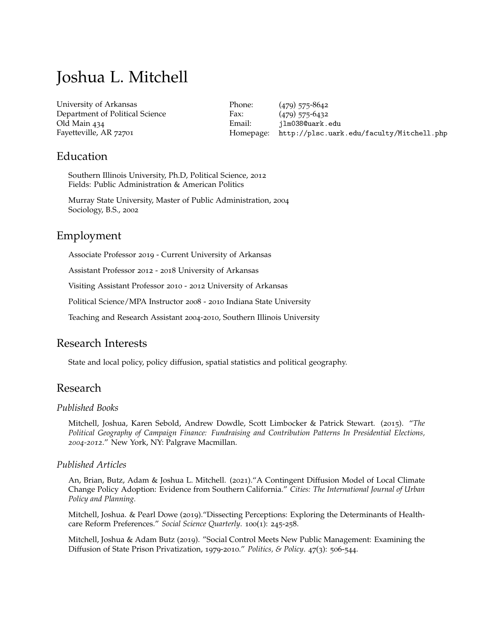# Joshua L. Mitchell

[University of Arkansas](http://www.uark.edu/) Department of Political Science Old Main 434 Fayetteville, AR 72701

Phone: (479) 575-8642 Fax: (479) 575-6432 Email: [jlm038@uark.edu](mailto:jlm038@uark.edu) Homepage: <http://plsc.uark.edu/faculty/Mitchell.php>

### Education

Southern Illinois University, Ph.D, Political Science, 2012 Fields: Public Administration & American Politics

Murray State University, Master of Public Administration, 2004 Sociology, B.S., 2002

# Employment

Associate Professor 2019 - Current University of Arkansas

Assistant Professor 2012 - 2018 University of Arkansas

Visiting Assistant Professor 2010 - 2012 University of Arkansas

Political Science/MPA Instructor 2008 - 2010 Indiana State University

Teaching and Research Assistant 2004-2010, Southern Illinois University

# Research Interests

State and local policy, policy diffusion, spatial statistics and political geography.

# Research

#### *Published Books*

Mitchell, Joshua, Karen Sebold, Andrew Dowdle, Scott Limbocker & Patrick Stewart. (2015). "*The Political Geography of Campaign Finance: Fundraising and Contribution Patterns In Presidential Elections, 2004-2012*." New York, NY: Palgrave Macmillan.

#### *Published Articles*

An, Brian, Butz, Adam & Joshua L. Mitchell. (2021)."A Contingent Diffusion Model of Local Climate Change Policy Adoption: Evidence from Southern California." *Cities: The International Journal of Urban Policy and Planning.*

Mitchell, Joshua. & Pearl Dowe (2019)."Dissecting Perceptions: Exploring the Determinants of Healthcare Reform Preferences." *Social Science Quarterly*. 100(1): 245-258.

Mitchell, Joshua & Adam Butz (2019). "Social Control Meets New Public Management: Examining the Diffusion of State Prison Privatization, 1979-2010." *Politics, & Policy*. 47(3): 506-544.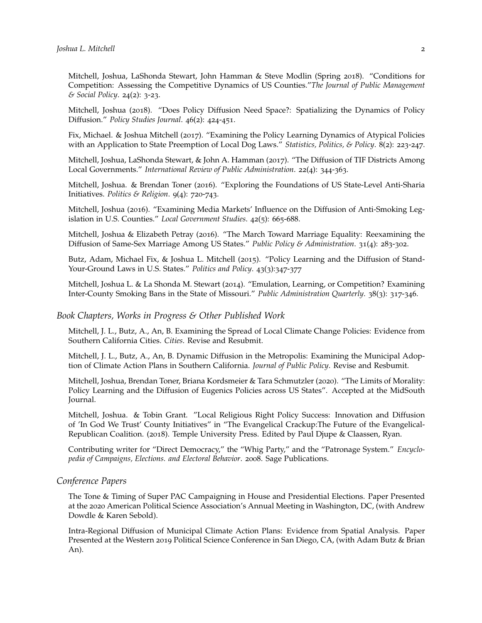Mitchell, Joshua, LaShonda Stewart, John Hamman & Steve Modlin (Spring 2018). "Conditions for Competition: Assessing the Competitive Dynamics of US Counties."*The Journal of Public Management & Social Policy*. 24(2): 3-23.

Mitchell, Joshua (2018). "Does Policy Diffusion Need Space?: Spatializing the Dynamics of Policy Diffusion." *Policy Studies Journal*. 46(2): 424-451.

Fix, Michael. & Joshua Mitchell (2017). "Examining the Policy Learning Dynamics of Atypical Policies with an Application to State Preemption of Local Dog Laws." *Statistics, Politics, & Policy*. 8(2): 223-247.

Mitchell, Joshua, LaShonda Stewart, & John A. Hamman (2017). "The Diffusion of TIF Districts Among Local Governments." *International Review of Public Administration*. 22(4): 344-363.

Mitchell, Joshua. & Brendan Toner (2016). "Exploring the Foundations of US State-Level Anti-Sharia Initiatives. *Politics & Religion*. 9(4): 720-743.

Mitchell, Joshua (2016). "Examining Media Markets' Influence on the Diffusion of Anti-Smoking Legislation in U.S. Counties." *Local Government Studies*. 42(5): 665-688.

Mitchell, Joshua & Elizabeth Petray (2016). "The March Toward Marriage Equality: Reexamining the Diffusion of Same-Sex Marriage Among US States." *Public Policy & Administration*. 31(4): 283-302.

Butz, Adam, Michael Fix, & Joshua L. Mitchell (2015). "Policy Learning and the Diffusion of Stand-Your-Ground Laws in U.S. States." *Politics and Policy*. 43(3):347-377

Mitchell, Joshua L. & La Shonda M. Stewart (2014). "Emulation, Learning, or Competition? Examining Inter-County Smoking Bans in the State of Missouri." *Public Administration Quarterly*. 38(3): 317-346.

#### *Book Chapters, Works in Progress & Other Published Work*

Mitchell, J. L., Butz, A., An, B. Examining the Spread of Local Climate Change Policies: Evidence from Southern California Cities. *Cities*. Revise and Resubmit.

Mitchell, J. L., Butz, A., An, B. Dynamic Diffusion in the Metropolis: Examining the Municipal Adoption of Climate Action Plans in Southern California. *Journal of Public Policy*. Revise and Resbumit.

Mitchell, Joshua, Brendan Toner, Briana Kordsmeier & Tara Schmutzler (2020). "The Limits of Morality: Policy Learning and the Diffusion of Eugenics Policies across US States". Accepted at the MidSouth Journal.

Mitchell, Joshua. & Tobin Grant. "Local Religious Right Policy Success: Innovation and Diffusion of 'In God We Trust' County Initiatives" in "The Evangelical Crackup:The Future of the Evangelical-Republican Coalition. (2018). Temple University Press. Edited by Paul Djupe & Claassen, Ryan.

Contributing writer for "Direct Democracy," the "Whig Party," and the "Patronage System." *Encyclopedia of Campaigns, Elections. and Electoral Behavior*. 2008. Sage Publications.

#### *Conference Papers*

The Tone & Timing of Super PAC Campaigning in House and Presidential Elections. Paper Presented at the 2020 American Political Science Association's Annual Meeting in Washington, DC, (with Andrew Dowdle & Karen Sebold).

Intra-Regional Diffusion of Municipal Climate Action Plans: Evidence from Spatial Analysis. Paper Presented at the Western 2019 Political Science Conference in San Diego, CA, (with Adam Butz & Brian An).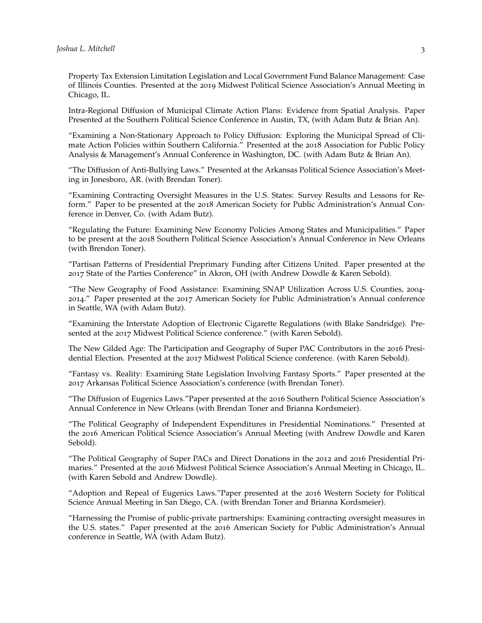Property Tax Extension Limitation Legislation and Local Government Fund Balance Management: Case of Illinois Counties. Presented at the 2019 Midwest Political Science Association's Annual Meeting in Chicago, IL.

Intra-Regional Diffusion of Municipal Climate Action Plans: Evidence from Spatial Analysis. Paper Presented at the Southern Political Science Conference in Austin, TX, (with Adam Butz & Brian An).

"Examining a Non-Stationary Approach to Policy Diffusion: Exploring the Municipal Spread of Climate Action Policies within Southern California." Presented at the 2018 Association for Public Policy Analysis & Management's Annual Conference in Washington, DC. (with Adam Butz & Brian An).

"The Diffusion of Anti-Bullying Laws." Presented at the Arkansas Political Science Association's Meeting in Jonesboro, AR. (with Brendan Toner).

"Examining Contracting Oversight Measures in the U.S. States: Survey Results and Lessons for Reform." Paper to be presented at the 2018 American Society for Public Administration's Annual Conference in Denver, Co. (with Adam Butz).

"Regulating the Future: Examining New Economy Policies Among States and Municipalities." Paper to be present at the 2018 Southern Political Science Association's Annual Conference in New Orleans (with Brendon Toner).

"Partisan Patterns of Presidential Preprimary Funding after Citizens United. Paper presented at the 2017 State of the Parties Conference" in Akron, OH (with Andrew Dowdle & Karen Sebold).

"The New Geography of Food Assistance: Examining SNAP Utilization Across U.S. Counties, 2004- 2014." Paper presented at the 2017 American Society for Public Administration's Annual conference in Seattle, WA (with Adam Butz).

"Examining the Interstate Adoption of Electronic Cigarette Regulations (with Blake Sandridge). Presented at the 2017 Midwest Political Science conference." (with Karen Sebold).

The New Gilded Age: The Participation and Geography of Super PAC Contributors in the 2016 Presidential Election. Presented at the 2017 Midwest Political Science conference. (with Karen Sebold).

"Fantasy vs. Reality: Examining State Legislation Involving Fantasy Sports." Paper presented at the 2017 Arkansas Political Science Association's conference (with Brendan Toner).

"The Diffusion of Eugenics Laws."Paper presented at the 2016 Southern Political Science Association's Annual Conference in New Orleans (with Brendan Toner and Brianna Kordsmeier).

"The Political Geography of Independent Expenditures in Presidential Nominations." Presented at the 2016 American Political Science Association's Annual Meeting (with Andrew Dowdle and Karen Sebold).

"The Political Geography of Super PACs and Direct Donations in the 2012 and 2016 Presidential Primaries." Presented at the 2016 Midwest Political Science Association's Annual Meeting in Chicago, IL. (with Karen Sebold and Andrew Dowdle).

"Adoption and Repeal of Eugenics Laws."Paper presented at the 2016 Western Society for Political Science Annual Meeting in San Diego, CA. (with Brendan Toner and Brianna Kordsmeier).

"Harnessing the Promise of public-private partnerships: Examining contracting oversight measures in the U.S. states." Paper presented at the 2016 American Society for Public Administration's Annual conference in Seattle, WA (with Adam Butz).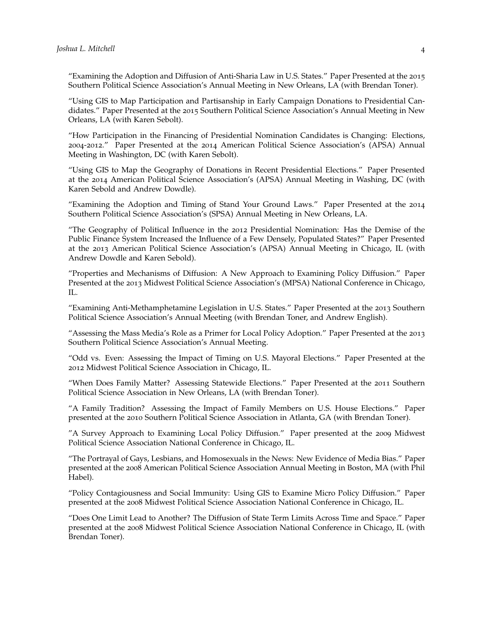"Examining the Adoption and Diffusion of Anti-Sharia Law in U.S. States." Paper Presented at the 2015 Southern Political Science Association's Annual Meeting in New Orleans, LA (with Brendan Toner).

"Using GIS to Map Participation and Partisanship in Early Campaign Donations to Presidential Candidates." Paper Presented at the 2015 Southern Political Science Association's Annual Meeting in New Orleans, LA (with Karen Sebolt).

"How Participation in the Financing of Presidential Nomination Candidates is Changing: Elections, 2004-2012." Paper Presented at the 2014 American Political Science Association's (APSA) Annual Meeting in Washington, DC (with Karen Sebolt).

"Using GIS to Map the Geography of Donations in Recent Presidential Elections." Paper Presented at the 2014 American Political Science Association's (APSA) Annual Meeting in Washing, DC (with Karen Sebold and Andrew Dowdle).

"Examining the Adoption and Timing of Stand Your Ground Laws." Paper Presented at the 2014 Southern Political Science Association's (SPSA) Annual Meeting in New Orleans, LA.

"The Geography of Political Influence in the 2012 Presidential Nomination: Has the Demise of the Public Finance System Increased the Influence of a Few Densely, Populated States?" Paper Presented at the 2013 American Political Science Association's (APSA) Annual Meeting in Chicago, IL (with Andrew Dowdle and Karen Sebold).

"Properties and Mechanisms of Diffusion: A New Approach to Examining Policy Diffusion." Paper Presented at the 2013 Midwest Political Science Association's (MPSA) National Conference in Chicago, IL.

"Examining Anti-Methamphetamine Legislation in U.S. States." Paper Presented at the 2013 Southern Political Science Association's Annual Meeting (with Brendan Toner, and Andrew English).

"Assessing the Mass Media's Role as a Primer for Local Policy Adoption." Paper Presented at the 2013 Southern Political Science Association's Annual Meeting.

"Odd vs. Even: Assessing the Impact of Timing on U.S. Mayoral Elections." Paper Presented at the 2012 Midwest Political Science Association in Chicago, IL.

"When Does Family Matter? Assessing Statewide Elections." Paper Presented at the 2011 Southern Political Science Association in New Orleans, LA (with Brendan Toner).

"A Family Tradition? Assessing the Impact of Family Members on U.S. House Elections." Paper presented at the 2010 Southern Political Science Association in Atlanta, GA (with Brendan Toner).

"A Survey Approach to Examining Local Policy Diffusion." Paper presented at the 2009 Midwest Political Science Association National Conference in Chicago, IL.

"The Portrayal of Gays, Lesbians, and Homosexuals in the News: New Evidence of Media Bias." Paper presented at the 2008 American Political Science Association Annual Meeting in Boston, MA (with Phil Habel).

"Policy Contagiousness and Social Immunity: Using GIS to Examine Micro Policy Diffusion." Paper presented at the 2008 Midwest Political Science Association National Conference in Chicago, IL.

"Does One Limit Lead to Another? The Diffusion of State Term Limits Across Time and Space." Paper presented at the 2008 Midwest Political Science Association National Conference in Chicago, IL (with Brendan Toner).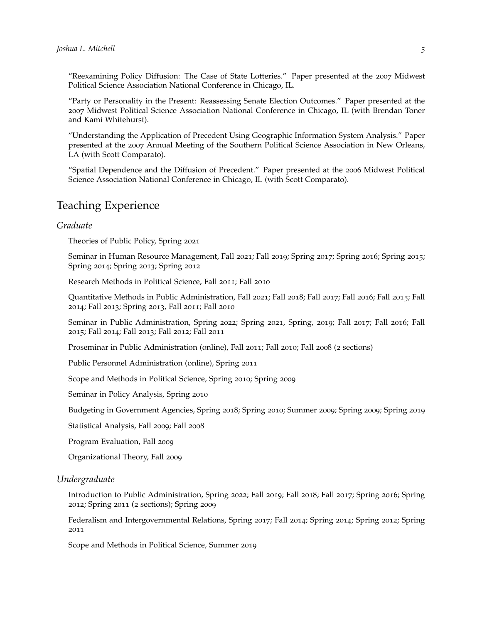"Reexamining Policy Diffusion: The Case of State Lotteries." Paper presented at the 2007 Midwest Political Science Association National Conference in Chicago, IL.

"Party or Personality in the Present: Reassessing Senate Election Outcomes." Paper presented at the 2007 Midwest Political Science Association National Conference in Chicago, IL (with Brendan Toner and Kami Whitehurst).

"Understanding the Application of Precedent Using Geographic Information System Analysis." Paper presented at the 2007 Annual Meeting of the Southern Political Science Association in New Orleans, LA (with Scott Comparato).

"Spatial Dependence and the Diffusion of Precedent." Paper presented at the 2006 Midwest Political Science Association National Conference in Chicago, IL (with Scott Comparato).

# Teaching Experience

### *Graduate*

Theories of Public Policy, Spring 2021

Seminar in Human Resource Management, Fall 2021; Fall 2019; Spring 2017; Spring 2016; Spring 2015; Spring 2014; Spring 2013; Spring 2012

Research Methods in Political Science, Fall 2011; Fall 2010

Quantitative Methods in Public Administration, Fall 2021; Fall 2018; Fall 2017; Fall 2016; Fall 2015; Fall 2014; Fall 2013; Spring 2013, Fall 2011; Fall 2010

Seminar in Public Administration, Spring 2022; Spring 2021, Spring, 2019; Fall 2017; Fall 2016; Fall 2015; Fall 2014; Fall 2013; Fall 2012; Fall 2011

Proseminar in Public Administration (online), Fall 2011; Fall 2010; Fall 2008 (2 sections)

Public Personnel Administration (online), Spring 2011

Scope and Methods in Political Science, Spring 2010; Spring 2009

Seminar in Policy Analysis, Spring 2010

Budgeting in Government Agencies, Spring 2018; Spring 2010; Summer 2009; Spring 2009; Spring 2019

Statistical Analysis, Fall 2009; Fall 2008

Program Evaluation, Fall 2009

Organizational Theory, Fall 2009

#### *Undergraduate*

Introduction to Public Administration, Spring 2022; Fall 2019; Fall 2018; Fall 2017; Spring 2016; Spring 2012; Spring 2011 (2 sections); Spring 2009

Federalism and Intergovernmental Relations, Spring 2017; Fall 2014; Spring 2014; Spring 2012; Spring 2011

Scope and Methods in Political Science, Summer 2019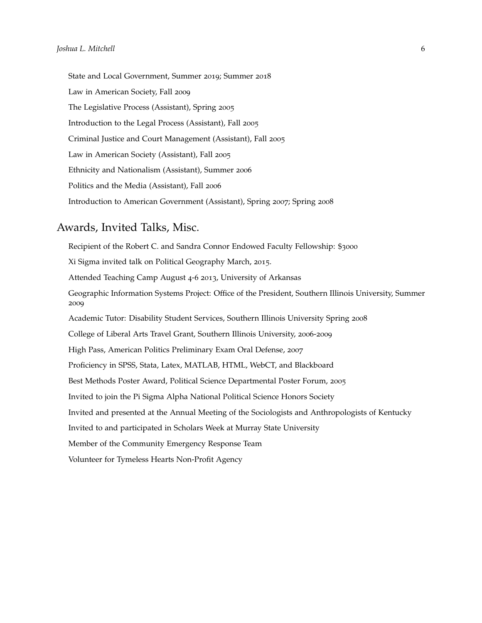State and Local Government, Summer 2019; Summer 2018 Law in American Society, Fall 2009 The Legislative Process (Assistant), Spring 2005 Introduction to the Legal Process (Assistant), Fall 2005 Criminal Justice and Court Management (Assistant), Fall 2005 Law in American Society (Assistant), Fall 2005 Ethnicity and Nationalism (Assistant), Summer 2006 Politics and the Media (Assistant), Fall 2006 Introduction to American Government (Assistant), Spring 2007; Spring 2008

### Awards, Invited Talks, Misc.

Recipient of the Robert C. and Sandra Connor Endowed Faculty Fellowship: \$3000 Xi Sigma invited talk on Political Geography March, 2015. Attended Teaching Camp August 4-6 2013, University of Arkansas Geographic Information Systems Project: Office of the President, Southern Illinois University, Summer 2009 Academic Tutor: Disability Student Services, Southern Illinois University Spring 2008 College of Liberal Arts Travel Grant, Southern Illinois University, 2006-2009 High Pass, American Politics Preliminary Exam Oral Defense, 2007 Proficiency in SPSS, Stata, Latex, MATLAB, HTML, WebCT, and Blackboard Best Methods Poster Award, Political Science Departmental Poster Forum, 2005 Invited to join the Pi Sigma Alpha National Political Science Honors Society Invited and presented at the Annual Meeting of the Sociologists and Anthropologists of Kentucky Invited to and participated in Scholars Week at Murray State University Member of the Community Emergency Response Team Volunteer for Tymeless Hearts Non-Profit Agency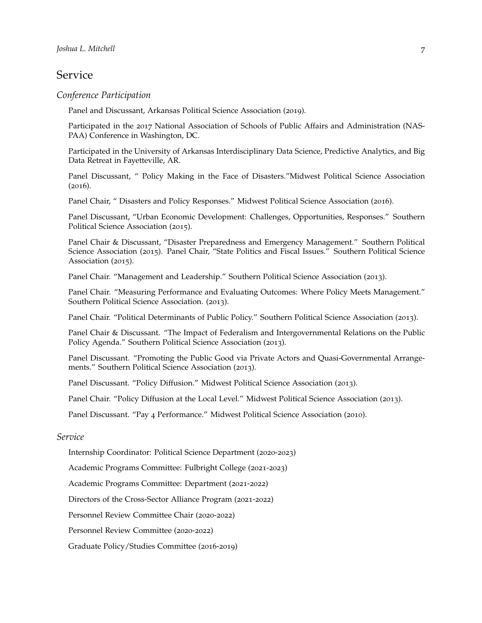### Service

#### *Conference Participation*

Panel and Discussant, Arkansas Political Science Association (2019).

Participated in the 2017 National Association of Schools of Public Affairs and Administration (NAS-PAA) Conference in Washington, DC.

Participated in the University of Arkansas Interdisciplinary Data Science, Predictive Analytics, and Big Data Retreat in Fayetteville, AR.

Panel Discussant, " Policy Making in the Face of Disasters."Midwest Political Science Association (2016).

Panel Chair, " Disasters and Policy Responses." Midwest Political Science Association (2016).

Panel Discussant, "Urban Economic Development: Challenges, Opportunities, Responses." Southern Political Science Association (2015).

Panel Chair & Discussant, "Disaster Preparedness and Emergency Management." Southern Political Science Association (2015). Panel Chair, "State Politics and Fiscal Issues." Southern Political Science Association (2015).

Panel Chair. "Management and Leadership." Southern Political Science Association (2013).

Panel Chair. "Measuring Performance and Evaluating Outcomes: Where Policy Meets Management." Southern Political Science Association. (2013).

Panel Chair. "Political Determinants of Public Policy." Southern Political Science Association (2013).

Panel Chair & Discussant. "The Impact of Federalism and Intergovernmental Relations on the Public Policy Agenda." Southern Political Science Association (2013).

Panel Discussant. "Promoting the Public Good via Private Actors and Quasi-Governmental Arrangements." Southern Political Science Association (2013).

Panel Discussant. "Policy Diffusion." Midwest Political Science Association (2013).

Panel Chair. "Policy Diffusion at the Local Level." Midwest Political Science Association (2013).

Panel Discussant. "Pay 4 Performance." Midwest Political Science Association (2010).

### *Service*

Internship Coordinator: Political Science Department (2020-2023)

Academic Programs Committee: Fulbright College (2021-2023)

Academic Programs Committee: Department (2021-2022)

Directors of the Cross-Sector Alliance Program (2021-2022)

Personnel Review Committee Chair (2020-2022)

Personnel Review Committee (2020-2022)

Graduate Policy/Studies Committee (2016-2019)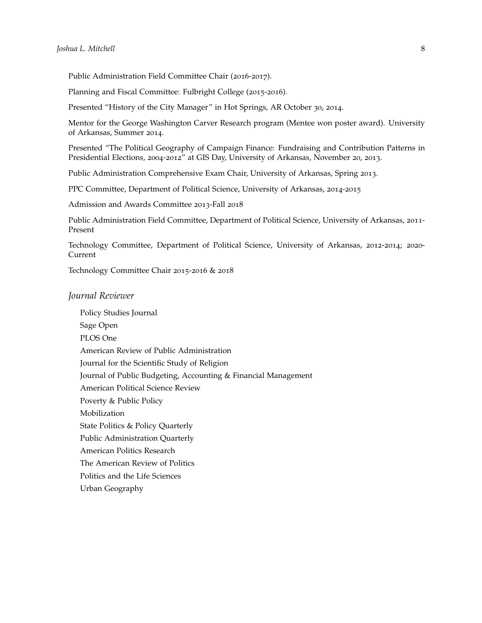Public Administration Field Committee Chair (2016-2017).

Planning and Fiscal Committee: Fulbright College (2015-2016).

Presented "History of the City Manager" in Hot Springs, AR October 30, 2014.

Mentor for the George Washington Carver Research program (Mentee won poster award). University of Arkansas, Summer 2014.

Presented "The Political Geography of Campaign Finance: Fundraising and Contribution Patterns in Presidential Elections, 2004-2012" at GIS Day, University of Arkansas, November 20, 2013.

Public Administration Comprehensive Exam Chair, University of Arkansas, Spring 2013.

PPC Committee, Department of Political Science, University of Arkansas, 2014-2015

Admission and Awards Committee 2013-Fall 2018

Public Administration Field Committee, Department of Political Science, University of Arkansas, 2011- Present

Technology Committee, Department of Political Science, University of Arkansas, 2012-2014; 2020- Current

Technology Committee Chair 2015-2016 & 2018

#### *Journal Reviewer*

Policy Studies Journal Sage Open PLOS One American Review of Public Administration Journal for the Scientific Study of Religion Journal of Public Budgeting, Accounting & Financial Management American Political Science Review Poverty & Public Policy Mobilization State Politics & Policy Quarterly Public Administration Quarterly American Politics Research The American Review of Politics Politics and the Life Sciences Urban Geography